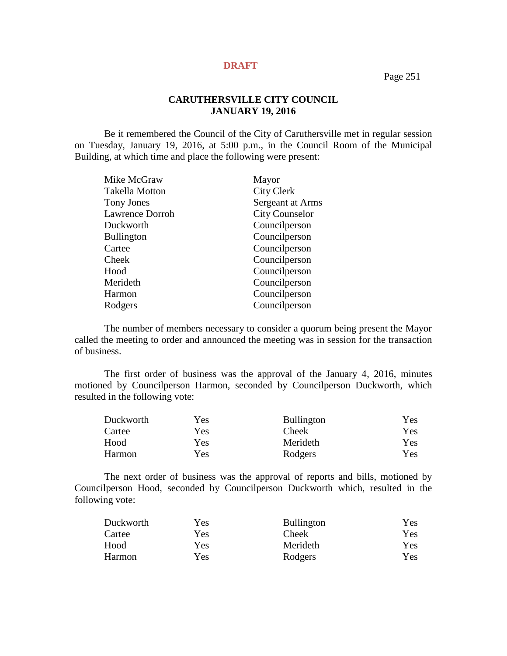Page 251

## **CARUTHERSVILLE CITY COUNCIL JANUARY 19, 2016**

Be it remembered the Council of the City of Caruthersville met in regular session on Tuesday, January 19, 2016, at 5:00 p.m., in the Council Room of the Municipal Building, at which time and place the following were present:

| Mike McGraw            | Mayor                 |
|------------------------|-----------------------|
| <b>Takella Motton</b>  | <b>City Clerk</b>     |
| Tony Jones             | Sergeant at Arms      |
| <b>Lawrence Dorroh</b> | <b>City Counselor</b> |
| Duckworth              | Councilperson         |
| <b>Bullington</b>      | Councilperson         |
| Cartee                 | Councilperson         |
| Cheek                  | Councilperson         |
| Hood                   | Councilperson         |
| Merideth               | Councilperson         |
| Harmon                 | Councilperson         |
| Rodgers                | Councilperson         |

The number of members necessary to consider a quorum being present the Mayor called the meeting to order and announced the meeting was in session for the transaction of business.

The first order of business was the approval of the January 4, 2016, minutes motioned by Councilperson Harmon, seconded by Councilperson Duckworth, which resulted in the following vote:

| Duckworth | Yes        | <b>Bullington</b> | Yes. |
|-----------|------------|-------------------|------|
| Cartee    | Yes.       | <b>Cheek</b>      | Yes  |
| Hood      | <b>Yes</b> | Merideth          | Yes. |
| Harmon    | Yes        | Rodgers           | Yes  |

The next order of business was the approval of reports and bills, motioned by Councilperson Hood, seconded by Councilperson Duckworth which, resulted in the following vote:

| Yes | <b>Bullington</b> | Yes        |
|-----|-------------------|------------|
| Yes | <b>Cheek</b>      | Yes:       |
| Yes | Merideth          | <b>Yes</b> |
| Yes | Rodgers           | Yes        |
|     |                   |            |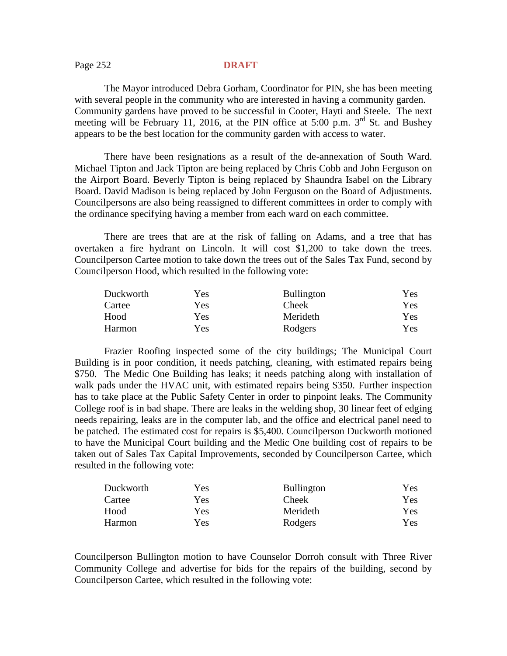### Page 252 **DRAFT**

The Mayor introduced Debra Gorham, Coordinator for PIN, she has been meeting with several people in the community who are interested in having a community garden. Community gardens have proved to be successful in Cooter, Hayti and Steele. The next meeting will be February 11, 2016, at the PIN office at 5:00 p.m.  $3<sup>rd</sup>$  St. and Bushey appears to be the best location for the community garden with access to water.

There have been resignations as a result of the de-annexation of South Ward. Michael Tipton and Jack Tipton are being replaced by Chris Cobb and John Ferguson on the Airport Board. Beverly Tipton is being replaced by Shaundra Isabel on the Library Board. David Madison is being replaced by John Ferguson on the Board of Adjustments. Councilpersons are also being reassigned to different committees in order to comply with the ordinance specifying having a member from each ward on each committee.

There are trees that are at the risk of falling on Adams, and a tree that has overtaken a fire hydrant on Lincoln. It will cost \$1,200 to take down the trees. Councilperson Cartee motion to take down the trees out of the Sales Tax Fund, second by Councilperson Hood, which resulted in the following vote:

| Duckworth | Yes | <b>Bullington</b> | Yes        |
|-----------|-----|-------------------|------------|
| Cartee    | Yes | <b>Cheek</b>      | <b>Yes</b> |
| Hood      | Yes | Merideth          | Yes        |
| Harmon    | Yes | Rodgers           | Yes        |

Frazier Roofing inspected some of the city buildings; The Municipal Court Building is in poor condition, it needs patching, cleaning, with estimated repairs being \$750. The Medic One Building has leaks; it needs patching along with installation of walk pads under the HVAC unit, with estimated repairs being \$350. Further inspection has to take place at the Public Safety Center in order to pinpoint leaks. The Community College roof is in bad shape. There are leaks in the welding shop, 30 linear feet of edging needs repairing, leaks are in the computer lab, and the office and electrical panel need to be patched. The estimated cost for repairs is \$5,400. Councilperson Duckworth motioned to have the Municipal Court building and the Medic One building cost of repairs to be taken out of Sales Tax Capital Improvements, seconded by Councilperson Cartee, which resulted in the following vote:

| Duckworth     | Yes | <b>Bullington</b> | Yes        |
|---------------|-----|-------------------|------------|
| Cartee        | Yes | <b>Cheek</b>      | Yes        |
| Hood          | Yes | Merideth          | Yes        |
| <b>Harmon</b> | Yes | Rodgers           | <b>Yes</b> |

Councilperson Bullington motion to have Counselor Dorroh consult with Three River Community College and advertise for bids for the repairs of the building, second by Councilperson Cartee, which resulted in the following vote: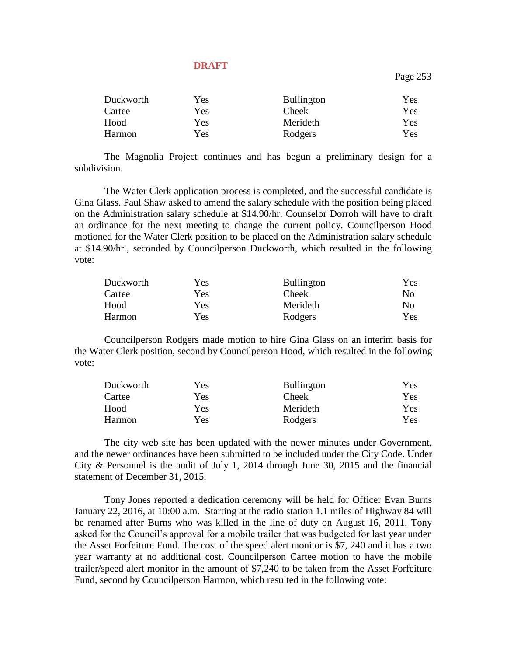Page 253

| Duckworth | <b>Yes</b> | <b>Bullington</b> | Yes |
|-----------|------------|-------------------|-----|
| Cartee    | Yes        | <b>Cheek</b>      | Yes |
| Hood      | Yes        | Merideth          | Yes |
| Harmon    | <b>Yes</b> | Rodgers           | Yes |

The Magnolia Project continues and has begun a preliminary design for a subdivision.

The Water Clerk application process is completed, and the successful candidate is Gina Glass. Paul Shaw asked to amend the salary schedule with the position being placed on the Administration salary schedule at \$14.90/hr. Counselor Dorroh will have to draft an ordinance for the next meeting to change the current policy. Councilperson Hood motioned for the Water Clerk position to be placed on the Administration salary schedule at \$14.90/hr., seconded by Councilperson Duckworth, which resulted in the following vote:

| Duckworth | Yes | <b>Bullington</b> | <b>Yes</b>     |
|-----------|-----|-------------------|----------------|
| Cartee    | Yes | <b>Cheek</b>      | N <sub>0</sub> |
| Hood      | Yes | Merideth          | No             |
| Harmon    | Yes | Rodgers           | Yes            |

Councilperson Rodgers made motion to hire Gina Glass on an interim basis for the Water Clerk position, second by Councilperson Hood, which resulted in the following vote:

| Duckworth | Yes        | <b>Bullington</b> | Yes        |
|-----------|------------|-------------------|------------|
| Cartee    | Yes        | <b>Cheek</b>      | Yes:       |
| Hood      | Yes        | Merideth          | Yes-       |
| Harmon    | <b>Yes</b> | Rodgers           | <b>Yes</b> |

The city web site has been updated with the newer minutes under Government, and the newer ordinances have been submitted to be included under the City Code. Under City & Personnel is the audit of July 1, 2014 through June 30, 2015 and the financial statement of December 31, 2015.

Tony Jones reported a dedication ceremony will be held for Officer Evan Burns January 22, 2016, at 10:00 a.m. Starting at the radio station 1.1 miles of Highway 84 will be renamed after Burns who was killed in the line of duty on August 16, 2011. Tony asked for the Council's approval for a mobile trailer that was budgeted for last year under the Asset Forfeiture Fund. The cost of the speed alert monitor is \$7, 240 and it has a two year warranty at no additional cost. Councilperson Cartee motion to have the mobile trailer/speed alert monitor in the amount of \$7,240 to be taken from the Asset Forfeiture Fund, second by Councilperson Harmon, which resulted in the following vote: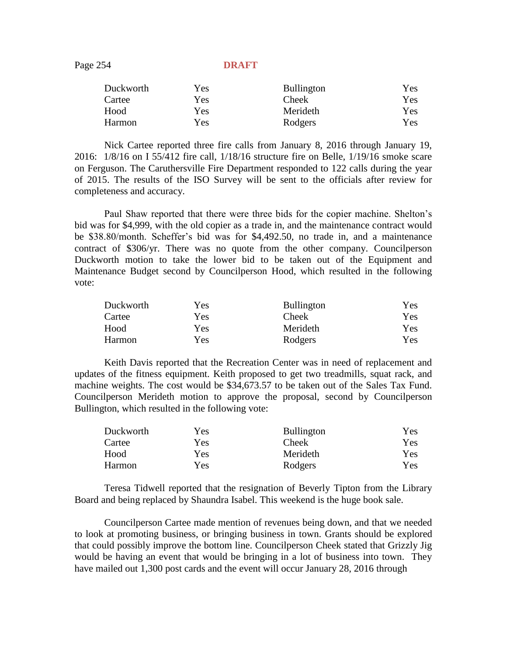Page 254 **DRAFT** 

| Duckworth | Yes | <b>Bullington</b> | <b>Yes</b> |
|-----------|-----|-------------------|------------|
| Cartee    | Yes | <b>Cheek</b>      | <b>Yes</b> |
| Hood      | Yes | Merideth          | Yes        |
| Harmon    | Yes | Rodgers           | <b>Yes</b> |

Nick Cartee reported three fire calls from January 8, 2016 through January 19, 2016: 1/8/16 on I 55/412 fire call, 1/18/16 structure fire on Belle, 1/19/16 smoke scare on Ferguson. The Caruthersville Fire Department responded to 122 calls during the year of 2015. The results of the ISO Survey will be sent to the officials after review for completeness and accuracy.

Paul Shaw reported that there were three bids for the copier machine. Shelton's bid was for \$4,999, with the old copier as a trade in, and the maintenance contract would be \$38.80/month. Scheffer's bid was for \$4,492.50, no trade in, and a maintenance contract of \$306/yr. There was no quote from the other company. Councilperson Duckworth motion to take the lower bid to be taken out of the Equipment and Maintenance Budget second by Councilperson Hood, which resulted in the following vote:

| Duckworth | Yes | <b>Bullington</b> | Yes |
|-----------|-----|-------------------|-----|
| Cartee    | Yes | <b>Cheek</b>      | Yes |
| Hood      | Yes | Merideth          | Yes |
| Harmon    | Yes | Rodgers           | Yes |

Keith Davis reported that the Recreation Center was in need of replacement and updates of the fitness equipment. Keith proposed to get two treadmills, squat rack, and machine weights. The cost would be \$34,673.57 to be taken out of the Sales Tax Fund. Councilperson Merideth motion to approve the proposal, second by Councilperson Bullington, which resulted in the following vote:

| Duckworth | Yes | <b>Bullington</b> | Yes  |
|-----------|-----|-------------------|------|
| Cartee    | Yes | Cheek             | Yes. |
| Hood      | Yes | Merideth          | Yes  |
| Harmon    | Yes | Rodgers           | Yes  |

Teresa Tidwell reported that the resignation of Beverly Tipton from the Library Board and being replaced by Shaundra Isabel. This weekend is the huge book sale.

Councilperson Cartee made mention of revenues being down, and that we needed to look at promoting business, or bringing business in town. Grants should be explored that could possibly improve the bottom line. Councilperson Cheek stated that Grizzly Jig would be having an event that would be bringing in a lot of business into town. They have mailed out 1,300 post cards and the event will occur January 28, 2016 through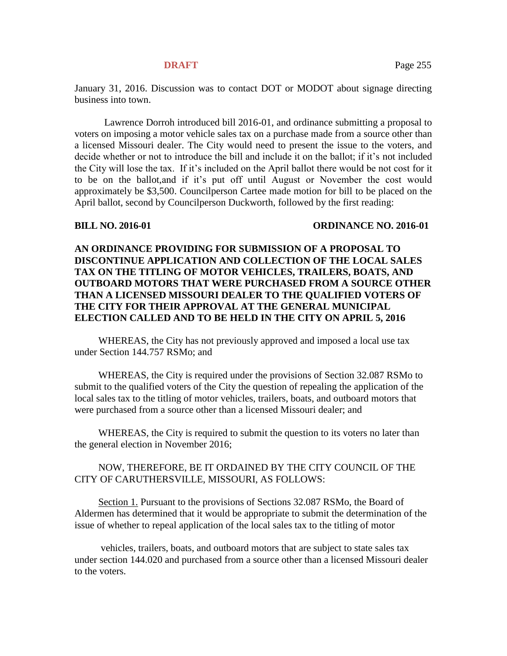January 31, 2016. Discussion was to contact DOT or MODOT about signage directing business into town.

Lawrence Dorroh introduced bill 2016-01, and ordinance submitting a proposal to voters on imposing a motor vehicle sales tax on a purchase made from a source other than a licensed Missouri dealer. The City would need to present the issue to the voters, and decide whether or not to introduce the bill and include it on the ballot; if it's not included the City will lose the tax. If it's included on the April ballot there would be not cost for it to be on the ballot,and if it's put off until August or November the cost would approximately be \$3,500. Councilperson Cartee made motion for bill to be placed on the April ballot, second by Councilperson Duckworth, followed by the first reading:

### **BILL NO. 2016-01 ORDINANCE NO. 2016-01**

## **AN ORDINANCE PROVIDING FOR SUBMISSION OF A PROPOSAL TO DISCONTINUE APPLICATION AND COLLECTION OF THE LOCAL SALES TAX ON THE TITLING OF MOTOR VEHICLES, TRAILERS, BOATS, AND OUTBOARD MOTORS THAT WERE PURCHASED FROM A SOURCE OTHER THAN A LICENSED MISSOURI DEALER TO THE QUALIFIED VOTERS OF THE CITY FOR THEIR APPROVAL AT THE GENERAL MUNICIPAL ELECTION CALLED AND TO BE HELD IN THE CITY ON APRIL 5, 2016**

WHEREAS, the City has not previously approved and imposed a local use tax under Section 144.757 RSMo; and

WHEREAS, the City is required under the provisions of Section 32.087 RSMo to submit to the qualified voters of the City the question of repealing the application of the local sales tax to the titling of motor vehicles, trailers, boats, and outboard motors that were purchased from a source other than a licensed Missouri dealer; and

WHEREAS, the City is required to submit the question to its voters no later than the general election in November 2016;

## NOW, THEREFORE, BE IT ORDAINED BY THE CITY COUNCIL OF THE CITY OF CARUTHERSVILLE, MISSOURI, AS FOLLOWS:

Section 1. Pursuant to the provisions of Sections 32.087 RSMo, the Board of Aldermen has determined that it would be appropriate to submit the determination of the issue of whether to repeal application of the local sales tax to the titling of motor

vehicles, trailers, boats, and outboard motors that are subject to state sales tax under section 144.020 and purchased from a source other than a licensed Missouri dealer to the voters.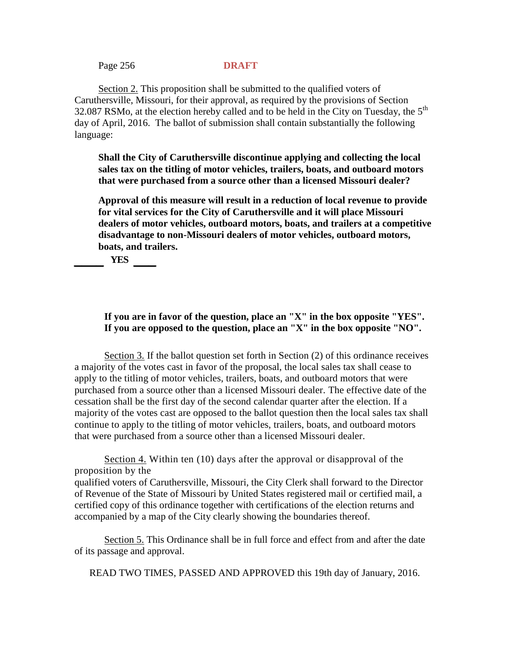Page 256 **DRAFT**

Section 2. This proposition shall be submitted to the qualified voters of Caruthersville, Missouri, for their approval, as required by the provisions of Section 32.087 RSMo, at the election hereby called and to be held in the City on Tuesday, the  $5<sup>th</sup>$ day of April, 2016. The ballot of submission shall contain substantially the following language:

**Shall the City of Caruthersville discontinue applying and collecting the local sales tax on the titling of motor vehicles, trailers, boats, and outboard motors that were purchased from a source other than a licensed Missouri dealer?**

**Approval of this measure will result in a reduction of local revenue to provide for vital services for the City of Caruthersville and it will place Missouri dealers of motor vehicles, outboard motors, boats, and trailers at a competitive disadvantage to non-Missouri dealers of motor vehicles, outboard motors, boats, and trailers.**

**\_\_\_\_ YES \_\_\_**

**If you are in favor of the question, place an "X" in the box opposite "YES". If you are opposed to the question, place an "X" in the box opposite "NO".**

Section 3. If the ballot question set forth in Section (2) of this ordinance receives a majority of the votes cast in favor of the proposal, the local sales tax shall cease to apply to the titling of motor vehicles, trailers, boats, and outboard motors that were purchased from a source other than a licensed Missouri dealer. The effective date of the cessation shall be the first day of the second calendar quarter after the election. If a majority of the votes cast are opposed to the ballot question then the local sales tax shall continue to apply to the titling of motor vehicles, trailers, boats, and outboard motors that were purchased from a source other than a licensed Missouri dealer.

Section 4. Within ten (10) days after the approval or disapproval of the proposition by the qualified voters of Caruthersville, Missouri, the City Clerk shall forward to the Director of Revenue of the State of Missouri by United States registered mail or certified mail, a certified copy of this ordinance together with certifications of the election returns and accompanied by a map of the City clearly showing the boundaries thereof.

Section 5. This Ordinance shall be in full force and effect from and after the date of its passage and approval.

READ TWO TIMES, PASSED AND APPROVED this 19th day of January, 2016.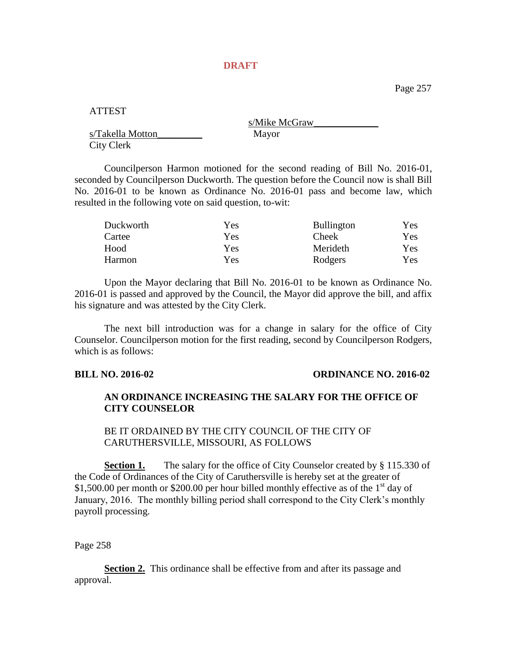Page 257

ATTEST

s/Takella Motton\_\_\_\_\_\_\_\_\_ Mayor City Clerk

s/Mike McGraw

Councilperson Harmon motioned for the second reading of Bill No. 2016-01, seconded by Councilperson Duckworth. The question before the Council now is shall Bill No. 2016-01 to be known as Ordinance No. 2016-01 pass and become law, which resulted in the following vote on said question, to-wit:

| Duckworth | Yes | <b>Bullington</b> | Yes. |
|-----------|-----|-------------------|------|
| Cartee    | Yes | <b>Cheek</b>      | Yes. |
| Hood      | Yes | Merideth          | Yes. |
| Harmon    | Yes | Rodgers           | Yes. |

Upon the Mayor declaring that Bill No. 2016-01 to be known as Ordinance No. 2016-01 is passed and approved by the Council, the Mayor did approve the bill, and affix his signature and was attested by the City Clerk.

The next bill introduction was for a change in salary for the office of City Counselor. Councilperson motion for the first reading, second by Councilperson Rodgers, which is as follows:

### **BILL NO. 2016-02 ORDINANCE NO. 2016-02**

## **AN ORDINANCE INCREASING THE SALARY FOR THE OFFICE OF CITY COUNSELOR**

BE IT ORDAINED BY THE CITY COUNCIL OF THE CITY OF CARUTHERSVILLE, MISSOURI, AS FOLLOWS

**Section 1.** The salary for the office of City Counselor created by § 115.330 of the Code of Ordinances of the City of Caruthersville is hereby set at the greater of \$1,500.00 per month or \$200.00 per hour billed monthly effective as of the  $1<sup>st</sup>$  day of January, 2016. The monthly billing period shall correspond to the City Clerk's monthly payroll processing.

Page 258

**Section 2.** This ordinance shall be effective from and after its passage and approval.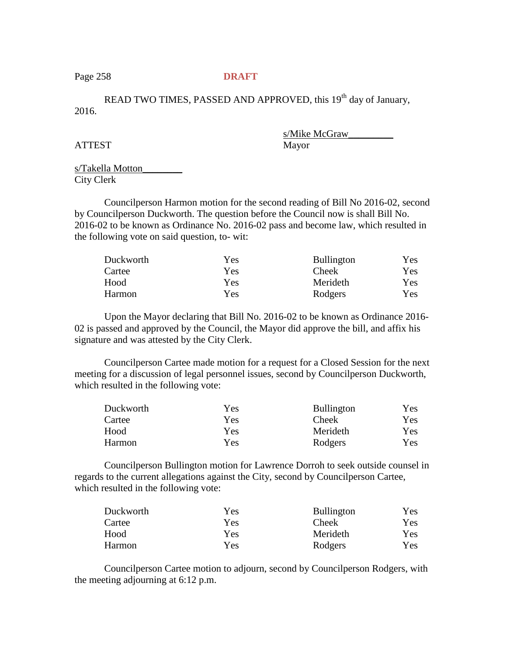## Page 258 **DRAFT**

READ TWO TIMES, PASSED AND APPROVED, this 19<sup>th</sup> day of January, 2016.

ATTEST Mayor

s/Mike McGraw\_\_\_\_\_\_\_\_\_

s/Takella Motton\_\_\_\_\_\_\_\_ City Clerk

Councilperson Harmon motion for the second reading of Bill No 2016-02, second by Councilperson Duckworth. The question before the Council now is shall Bill No. 2016-02 to be known as Ordinance No. 2016-02 pass and become law, which resulted in the following vote on said question, to- wit:

| Duckworth | Yes | <b>Bullington</b> | Yes  |
|-----------|-----|-------------------|------|
| Cartee    | Yes | <b>Cheek</b>      | Yes. |
| Hood      | Yes | Merideth          | Yes. |
| Harmon    | Yes | Rodgers           | Yes  |

Upon the Mayor declaring that Bill No. 2016-02 to be known as Ordinance 2016- 02 is passed and approved by the Council, the Mayor did approve the bill, and affix his signature and was attested by the City Clerk.

Councilperson Cartee made motion for a request for a Closed Session for the next meeting for a discussion of legal personnel issues, second by Councilperson Duckworth, which resulted in the following vote:

| Duckworth | Yes. | <b>Bullington</b> | <b>Yes</b> |
|-----------|------|-------------------|------------|
| Cartee    | Yes. | <b>Cheek</b>      | Yes        |
| Hood      | Yes. | Merideth          | Yes        |
| Harmon    | Yes  | Rodgers           | Yes        |

Councilperson Bullington motion for Lawrence Dorroh to seek outside counsel in regards to the current allegations against the City, second by Councilperson Cartee, which resulted in the following vote:

| Duckworth | Yes | <b>Bullington</b> | <b>Yes</b> |
|-----------|-----|-------------------|------------|
| Cartee    | Yes | <b>Cheek</b>      | Yes.       |
| Hood      | Yes | Merideth          | Yes:       |
| Harmon    | Yes | Rodgers           | Yes        |

Councilperson Cartee motion to adjourn, second by Councilperson Rodgers, with the meeting adjourning at 6:12 p.m.